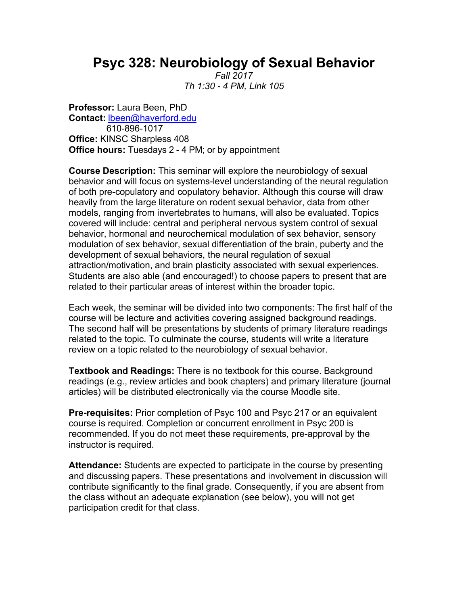## **Psyc 328: Neurobiology of Sexual Behavior**

*Fall 2017 Th 1:30 - 4 PM, Link 105*

**Professor:** Laura Been, PhD **Contact:** lbeen@haverford.edu 610-896-1017 **Office:** KINSC Sharpless 408 **Office hours:** Tuesdays 2 - 4 PM; or by appointment

**Course Description:** This seminar will explore the neurobiology of sexual behavior and will focus on systems-level understanding of the neural regulation of both pre-copulatory and copulatory behavior. Although this course will draw heavily from the large literature on rodent sexual behavior, data from other models, ranging from invertebrates to humans, will also be evaluated. Topics covered will include: central and peripheral nervous system control of sexual behavior, hormonal and neurochemical modulation of sex behavior, sensory modulation of sex behavior, sexual differentiation of the brain, puberty and the development of sexual behaviors, the neural regulation of sexual attraction/motivation, and brain plasticity associated with sexual experiences. Students are also able (and encouraged!) to choose papers to present that are related to their particular areas of interest within the broader topic.

Each week, the seminar will be divided into two components: The first half of the course will be lecture and activities covering assigned background readings. The second half will be presentations by students of primary literature readings related to the topic. To culminate the course, students will write a literature review on a topic related to the neurobiology of sexual behavior.

**Textbook and Readings:** There is no textbook for this course. Background readings (e.g., review articles and book chapters) and primary literature (journal articles) will be distributed electronically via the course Moodle site.

**Pre-requisites:** Prior completion of Psyc 100 and Psyc 217 or an equivalent course is required. Completion or concurrent enrollment in Psyc 200 is recommended. If you do not meet these requirements, pre-approval by the instructor is required.

**Attendance:** Students are expected to participate in the course by presenting and discussing papers. These presentations and involvement in discussion will contribute significantly to the final grade. Consequently, if you are absent from the class without an adequate explanation (see below), you will not get participation credit for that class.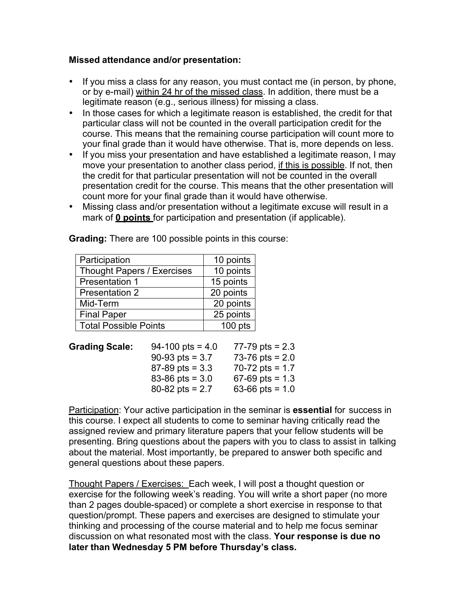## **Missed attendance and/or presentation:**

- If you miss a class for any reason, you must contact me (in person, by phone, or by e-mail) within 24 hr of the missed class. In addition, there must be a legitimate reason (e.g., serious illness) for missing a class.
- In those cases for which a legitimate reason is established, the credit for that particular class will not be counted in the overall participation credit for the course. This means that the remaining course participation will count more to your final grade than it would have otherwise. That is, more depends on less.
- If you miss your presentation and have established a legitimate reason, I may move your presentation to another class period, if this is possible. If not, then the credit for that particular presentation will not be counted in the overall presentation credit for the course. This means that the other presentation will count more for your final grade than it would have otherwise.
- Missing class and/or presentation without a legitimate excuse will result in a mark of **0 points** for participation and presentation (if applicable).

| Participation                     | 10 points |
|-----------------------------------|-----------|
| <b>Thought Papers / Exercises</b> | 10 points |
| <b>Presentation 1</b>             | 15 points |
| <b>Presentation 2</b>             | 20 points |
| Mid-Term                          | 20 points |
| <b>Final Paper</b>                | 25 points |
| <b>Total Possible Points</b>      | $100$ pts |

**Grading:** There are 100 possible points in this course:

| <b>Grading Scale:</b> | $94-100$ pts = 4.0    | 77-79 pts = $2.3$ |
|-----------------------|-----------------------|-------------------|
|                       | 90-93 pts = $3.7$     | 73-76 pts = $2.0$ |
|                       | $87 - 89$ pts = 3.3   | 70-72 pts = $1.7$ |
|                       | $83 - 86$ pts = $3.0$ | $67-69$ pts = 1.3 |
|                       | $80 - 82$ pts = 2.7   | 63-66 pts = $1.0$ |

Participation: Your active participation in the seminar is **essential** for success in this course. I expect all students to come to seminar having critically read the assigned review and primary literature papers that your fellow students will be presenting. Bring questions about the papers with you to class to assist in talking about the material. Most importantly, be prepared to answer both specific and general questions about these papers.

Thought Papers / Exercises: Each week, I will post a thought question or exercise for the following week's reading. You will write a short paper (no more than 2 pages double-spaced) or complete a short exercise in response to that question/prompt. These papers and exercises are designed to stimulate your thinking and processing of the course material and to help me focus seminar discussion on what resonated most with the class. **Your response is due no later than Wednesday 5 PM before Thursday's class.**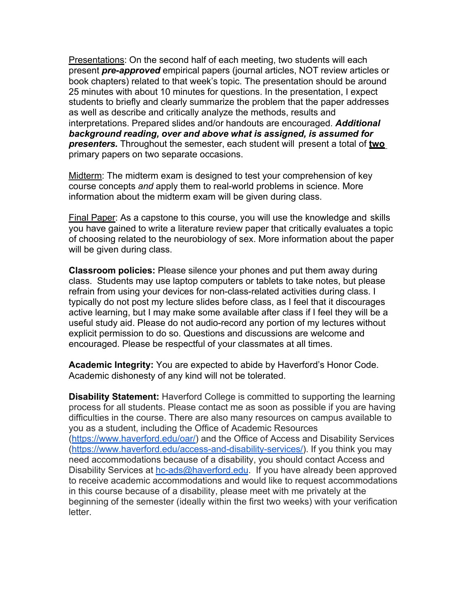Presentations: On the second half of each meeting, two students will each present *pre-approved* empirical papers (journal articles, NOT review articles or book chapters) related to that week's topic. The presentation should be around 25 minutes with about 10 minutes for questions. In the presentation, I expect students to briefly and clearly summarize the problem that the paper addresses as well as describe and critically analyze the methods, results and interpretations. Prepared slides and/or handouts are encouraged. *Additional background reading, over and above what is assigned, is assumed for presenters.* Throughout the semester, each student will present a total of **two** primary papers on two separate occasions.

Midterm: The midterm exam is designed to test your comprehension of key course concepts *and* apply them to real-world problems in science. More information about the midterm exam will be given during class.

Final Paper: As a capstone to this course, you will use the knowledge and skills you have gained to write a literature review paper that critically evaluates a topic of choosing related to the neurobiology of sex. More information about the paper will be given during class.

**Classroom policies:** Please silence your phones and put them away during class. Students may use laptop computers or tablets to take notes, but please refrain from using your devices for non-class-related activities during class. I typically do not post my lecture slides before class, as I feel that it discourages active learning, but I may make some available after class if I feel they will be a useful study aid. Please do not audio-record any portion of my lectures without explicit permission to do so. Questions and discussions are welcome and encouraged. Please be respectful of your classmates at all times.

**Academic Integrity:** You are expected to abide by Haverford's Honor Code. Academic dishonesty of any kind will not be tolerated.

**Disability Statement:** Haverford College is committed to supporting the learning process for all students. Please contact me as soon as possible if you are having difficulties in the course. There are also many resources on campus available to you as a student, including the Office of Academic Resources (https://www.haverford.edu/oar/) and the Office of Access and Disability Services (https://www.haverford.edu/access-and-disability-services/). If you think you may need accommodations because of a disability, you should contact Access and Disability Services at hc-ads@haverford.edu. If you have already been approved to receive academic accommodations and would like to request accommodations in this course because of a disability, please meet with me privately at the beginning of the semester (ideally within the first two weeks) with your verification letter.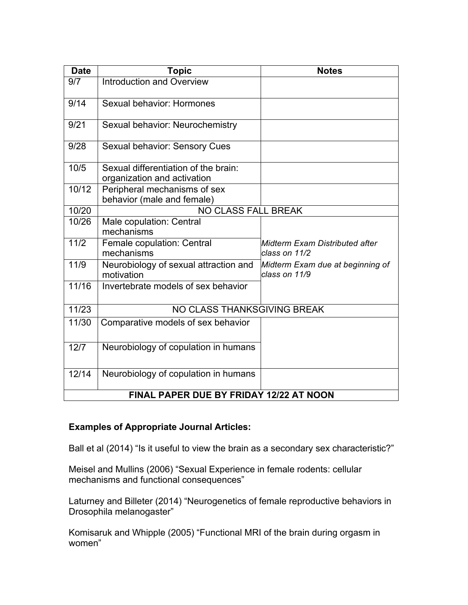| <b>Date</b>                             | <b>Topic</b>                                                        | <b>Notes</b>                                      |  |
|-----------------------------------------|---------------------------------------------------------------------|---------------------------------------------------|--|
| 9/7                                     | <b>Introduction and Overview</b>                                    |                                                   |  |
| 9/14                                    | Sexual behavior: Hormones                                           |                                                   |  |
| 9/21                                    | Sexual behavior: Neurochemistry                                     |                                                   |  |
| 9/28                                    | Sexual behavior: Sensory Cues                                       |                                                   |  |
| 10/5                                    | Sexual differentiation of the brain:<br>organization and activation |                                                   |  |
| 10/12                                   | Peripheral mechanisms of sex<br>behavior (male and female)          |                                                   |  |
| 10/20                                   | <b>NO CLASS FALL BREAK</b>                                          |                                                   |  |
| 10/26                                   | Male copulation: Central<br>mechanisms                              |                                                   |  |
| 11/2                                    | Female copulation: Central<br>mechanisms                            | Midterm Exam Distributed after<br>class on 11/2   |  |
| 11/9                                    | Neurobiology of sexual attraction and<br>motivation                 | Midterm Exam due at beginning of<br>class on 11/9 |  |
| 11/16                                   | Invertebrate models of sex behavior                                 |                                                   |  |
| 11/23                                   | NO CLASS THANKSGIVING BREAK                                         |                                                   |  |
| 11/30                                   | Comparative models of sex behavior                                  |                                                   |  |
| 12/7                                    | Neurobiology of copulation in humans                                |                                                   |  |
| 12/14                                   | Neurobiology of copulation in humans                                |                                                   |  |
| FINAL PAPER DUE BY FRIDAY 12/22 AT NOON |                                                                     |                                                   |  |

## **Examples of Appropriate Journal Articles:**

Ball et al (2014) "Is it useful to view the brain as a secondary sex characteristic?"

Meisel and Mullins (2006) "Sexual Experience in female rodents: cellular mechanisms and functional consequences"

Laturney and Billeter (2014) "Neurogenetics of female reproductive behaviors in Drosophila melanogaster"

Komisaruk and Whipple (2005) "Functional MRI of the brain during orgasm in women"